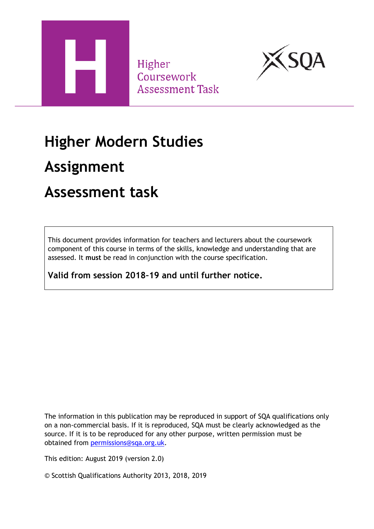

Higher Coursework **Assessment Task** 



### **Higher Modern Studies**

### **Assignment**

### **Assessment task**

This document provides information for teachers and lecturers about the coursework component of this course in terms of the skills, knowledge and understanding that are assessed. It **must** be read in conjunction with the course specification.

**Valid from session 2018–19 and until further notice.** 

The information in this publication may be reproduced in support of SQA qualifications only on a non-commercial basis. If it is reproduced, SQA must be clearly acknowledged as the source. If it is to be reproduced for any other purpose, written permission must be obtained from [permissions@sqa.org.uk.](mailto:permissions@sqa.org.uk)

This edition: August 2019 (version 2.0)

© Scottish Qualifications Authority 2013, 2018, 2019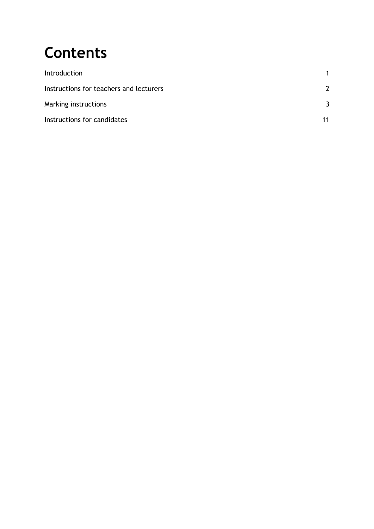# **Contents**

| Introduction                            |    |
|-----------------------------------------|----|
| Instructions for teachers and lecturers |    |
| Marking instructions                    |    |
| Instructions for candidates             | 11 |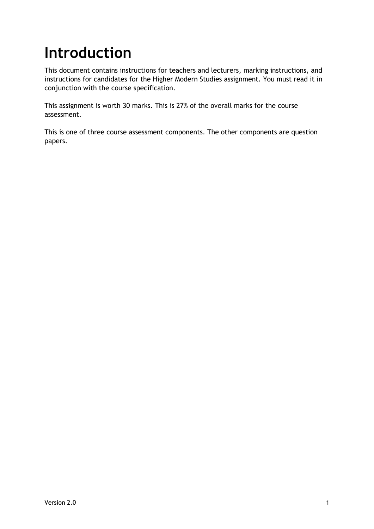## <span id="page-2-0"></span>**Introduction**

This document contains instructions for teachers and lecturers, marking instructions, and instructions for candidates for the Higher Modern Studies assignment. You must read it in conjunction with the course specification.

This assignment is worth 30 marks. This is 27% of the overall marks for the course assessment.

This is one of three course assessment components. The other components are question papers.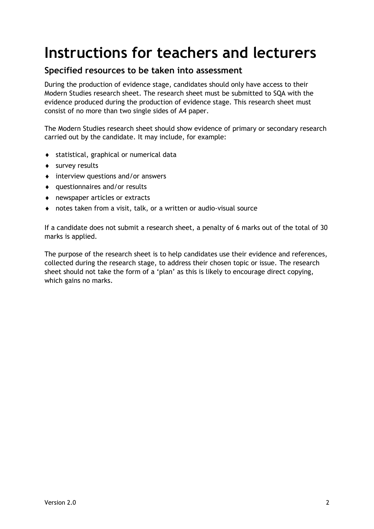### <span id="page-3-0"></span>**Instructions for teachers and lecturers**

#### **Specified resources to be taken into assessment**

During the production of evidence stage, candidates should only have access to their Modern Studies research sheet. The research sheet must be submitted to SQA with the evidence produced during the production of evidence stage. This research sheet must consist of no more than two single sides of A4 paper.

The Modern Studies research sheet should show evidence of primary or secondary research carried out by the candidate. It may include, for example:

- statistical, graphical or numerical data
- survey results
- interview questions and/or answers
- questionnaires and/or results
- newspaper articles or extracts
- notes taken from a visit, talk, or a written or audio-visual source

If a candidate does not submit a research sheet, a penalty of 6 marks out of the total of 30 marks is applied.

The purpose of the research sheet is to help candidates use their evidence and references, collected during the research stage, to address their chosen topic or issue. The research sheet should not take the form of a 'plan' as this is likely to encourage direct copying, which gains no marks.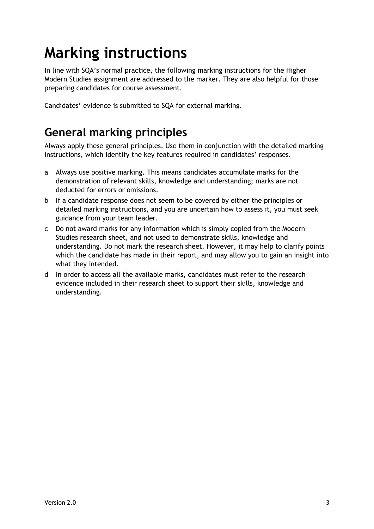# <span id="page-4-0"></span>**Marking instructions**

In line with SQA's normal practice, the following marking instructions for the Higher Modern Studies assignment are addressed to the marker. They are also helpful for those preparing candidates for course assessment.

Candidates' evidence is submitted to SQA for external marking.

### **General marking principles**

Always apply these general principles. Use them in conjunction with the detailed marking instructions, which identify the key features required in candidates' responses.

- a Always use positive marking. This means candidates accumulate marks for the demonstration of relevant skills, knowledge and understanding; marks are not deducted for errors or omissions.
- b If a candidate response does not seem to be covered by either the principles or detailed marking instructions, and you are uncertain how to assess it, you must seek guidance from your team leader.
- c Do not award marks for any information which is simply copied from the Modern Studies research sheet, and not used to demonstrate skills, knowledge and understanding. Do not mark the research sheet. However, it may help to clarify points which the candidate has made in their report, and may allow you to gain an insight into what they intended.
- d In order to access all the available marks, candidates must refer to the research evidence included in their research sheet to support their skills, knowledge and understanding.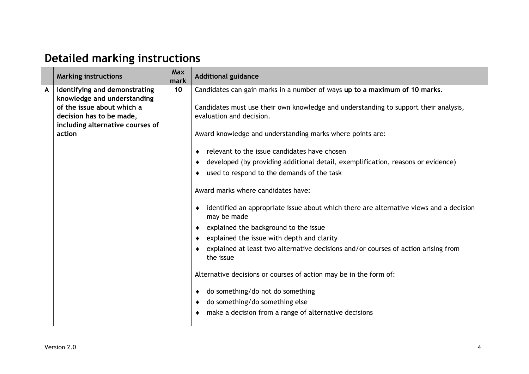### **Detailed marking instructions**

| Identifying and demonstrating<br>Candidates can gain marks in a number of ways up to a maximum of 10 marks.<br>$\mathsf{A}$<br>10<br>knowledge and understanding<br>of the issue about which a<br>Candidates must use their own knowledge and understanding to support their analysis,<br>decision has to be made,<br>evaluation and decision.                                                                                                                                                                                                                                                                                                                                                                                                                                                                                         |  |
|----------------------------------------------------------------------------------------------------------------------------------------------------------------------------------------------------------------------------------------------------------------------------------------------------------------------------------------------------------------------------------------------------------------------------------------------------------------------------------------------------------------------------------------------------------------------------------------------------------------------------------------------------------------------------------------------------------------------------------------------------------------------------------------------------------------------------------------|--|
| including alternative courses of<br>action<br>Award knowledge and understanding marks where points are:<br>relevant to the issue candidates have chosen<br>developed (by providing additional detail, exemplification, reasons or evidence)<br>used to respond to the demands of the task<br>Award marks where candidates have:<br>identified an appropriate issue about which there are alternative views and a decision<br>may be made<br>explained the background to the issue<br>explained the issue with depth and clarity<br>explained at least two alternative decisions and/or courses of action arising from<br>the issue<br>Alternative decisions or courses of action may be in the form of:<br>do something/do not do something<br>do something/do something else<br>make a decision from a range of alternative decisions |  |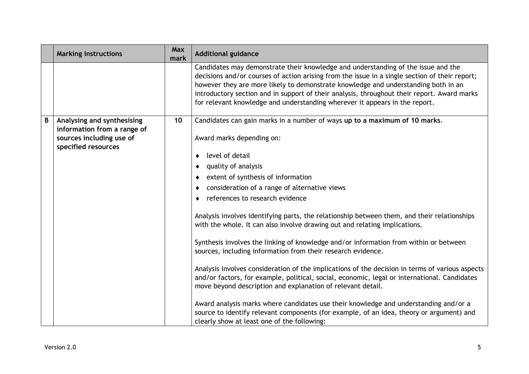|   | <b>Marking instructions</b>                                                                                  | Max<br>mark | <b>Additional guidance</b>                                                                                                                                                                                                                                                                                                                                                                                                                                                                                                                                                                                                                                 |
|---|--------------------------------------------------------------------------------------------------------------|-------------|------------------------------------------------------------------------------------------------------------------------------------------------------------------------------------------------------------------------------------------------------------------------------------------------------------------------------------------------------------------------------------------------------------------------------------------------------------------------------------------------------------------------------------------------------------------------------------------------------------------------------------------------------------|
|   |                                                                                                              |             | Candidates may demonstrate their knowledge and understanding of the issue and the<br>decisions and/or courses of action arising from the issue in a single section of their report;<br>however they are more likely to demonstrate knowledge and understanding both in an<br>introductory section and in support of their analysis, throughout their report. Award marks<br>for relevant knowledge and understanding wherever it appears in the report.                                                                                                                                                                                                    |
| B | Analysing and synthesising<br>information from a range of<br>sources including use of<br>specified resources | 10          | Candidates can gain marks in a number of ways up to a maximum of 10 marks.<br>Award marks depending on:<br>level of detail<br>quality of analysis<br>extent of synthesis of information<br>consideration of a range of alternative views<br>references to research evidence<br>Analysis involves identifying parts, the relationship between them, and their relationships<br>with the whole. It can also involve drawing out and relating implications.                                                                                                                                                                                                   |
|   |                                                                                                              |             | Synthesis involves the linking of knowledge and/or information from within or between<br>sources, including information from their research evidence.<br>Analysis involves consideration of the implications of the decision in terms of various aspects<br>and/or factors, for example, political, social, economic, legal or international. Candidates<br>move beyond description and explanation of relevant detail.<br>Award analysis marks where candidates use their knowledge and understanding and/or a<br>source to identify relevant components (for example, of an idea, theory or argument) and<br>clearly show at least one of the following: |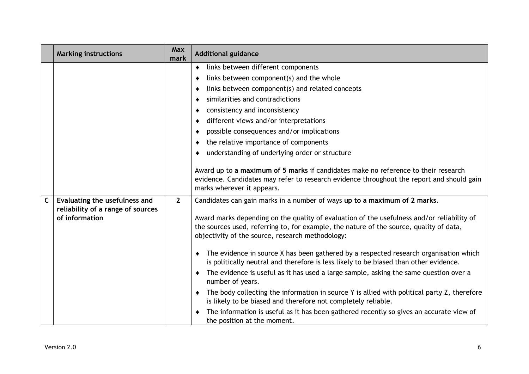|             | <b>Marking instructions</b>                                                          | Max<br>mark  | <b>Additional guidance</b>                                                                                                                                                                                                                                                                                                                                                                                                                                                                                                                                                                                                                          |  |
|-------------|--------------------------------------------------------------------------------------|--------------|-----------------------------------------------------------------------------------------------------------------------------------------------------------------------------------------------------------------------------------------------------------------------------------------------------------------------------------------------------------------------------------------------------------------------------------------------------------------------------------------------------------------------------------------------------------------------------------------------------------------------------------------------------|--|
|             |                                                                                      |              | links between different components<br>٠<br>links between component(s) and the whole<br>links between component(s) and related concepts<br>similarities and contradictions<br>consistency and inconsistency<br>different views and/or interpretations<br>possible consequences and/or implications<br>the relative importance of components<br>understanding of underlying order or structure<br>Award up to a maximum of 5 marks if candidates make no reference to their research<br>evidence. Candidates may refer to research evidence throughout the report and should gain                                                                     |  |
| $\mathsf C$ | Evaluating the usefulness and<br>reliability of a range of sources<br>of information | $\mathbf{2}$ | marks wherever it appears.<br>Candidates can gain marks in a number of ways up to a maximum of 2 marks.<br>Award marks depending on the quality of evaluation of the usefulness and/or reliability of<br>the sources used, referring to, for example, the nature of the source, quality of data,<br>objectivity of the source, research methodology:<br>The evidence in source X has been gathered by a respected research organisation which<br>is politically neutral and therefore is less likely to be biased than other evidence.<br>The evidence is useful as it has used a large sample, asking the same question over a<br>number of years. |  |
|             |                                                                                      |              | The body collecting the information in source Y is allied with political party Z, therefore<br>is likely to be biased and therefore not completely reliable.<br>The information is useful as it has been gathered recently so gives an accurate view of<br>the position at the moment.                                                                                                                                                                                                                                                                                                                                                              |  |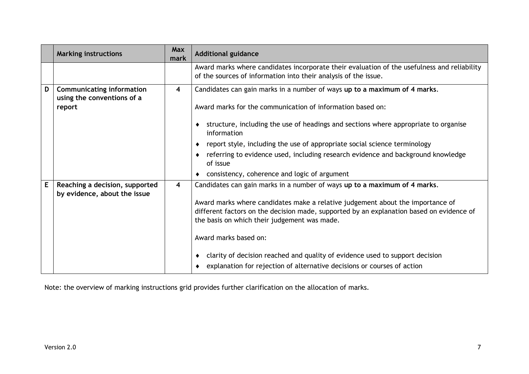|             | <b>Marking instructions</b>                                    | Max<br>mark    | <b>Additional guidance</b>                                                                                                                                                                                                 |
|-------------|----------------------------------------------------------------|----------------|----------------------------------------------------------------------------------------------------------------------------------------------------------------------------------------------------------------------------|
|             |                                                                |                | Award marks where candidates incorporate their evaluation of the usefulness and reliability<br>of the sources of information into their analysis of the issue.                                                             |
| D           | <b>Communicating information</b><br>using the conventions of a | 4              | Candidates can gain marks in a number of ways up to a maximum of 4 marks.                                                                                                                                                  |
|             | report                                                         |                | Award marks for the communication of information based on:                                                                                                                                                                 |
|             |                                                                |                | structure, including the use of headings and sections where appropriate to organise<br>information                                                                                                                         |
|             |                                                                |                | report style, including the use of appropriate social science terminology                                                                                                                                                  |
|             |                                                                |                | referring to evidence used, including research evidence and background knowledge<br>of issue                                                                                                                               |
|             |                                                                |                | consistency, coherence and logic of argument                                                                                                                                                                               |
| $\mathsf E$ | Reaching a decision, supported                                 | $\overline{4}$ | Candidates can gain marks in a number of ways up to a maximum of 4 marks.                                                                                                                                                  |
|             | by evidence, about the issue                                   |                | Award marks where candidates make a relative judgement about the importance of<br>different factors on the decision made, supported by an explanation based on evidence of<br>the basis on which their judgement was made. |
|             |                                                                |                | Award marks based on:                                                                                                                                                                                                      |
|             |                                                                |                | clarity of decision reached and quality of evidence used to support decision<br>explanation for rejection of alternative decisions or courses of action                                                                    |

Note: the overview of marking instructions grid provides further clarification on the allocation of marks.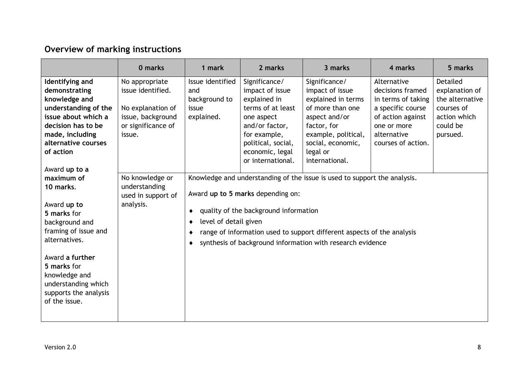#### **Overview of marking instructions**

|                                                                                                                                                                                                                                      | 0 marks                                                                                                       | 1 mark                                                          | 2 marks                                                                                                                                                                             | 3 marks                                                                                                                                                                                                           | 4 marks                                                                                                                                             | 5 marks                                                                                             |
|--------------------------------------------------------------------------------------------------------------------------------------------------------------------------------------------------------------------------------------|---------------------------------------------------------------------------------------------------------------|-----------------------------------------------------------------|-------------------------------------------------------------------------------------------------------------------------------------------------------------------------------------|-------------------------------------------------------------------------------------------------------------------------------------------------------------------------------------------------------------------|-----------------------------------------------------------------------------------------------------------------------------------------------------|-----------------------------------------------------------------------------------------------------|
| Identifying and<br>demonstrating<br>knowledge and<br>understanding of the<br>issue about which a<br>decision has to be<br>made, including<br>alternative courses<br>of action                                                        | No appropriate<br>issue identified.<br>No explanation of<br>issue, background<br>or significance of<br>issue. | Issue identified<br>and<br>background to<br>issue<br>explained. | Significance/<br>impact of issue<br>explained in<br>terms of at least<br>one aspect<br>and/or factor,<br>for example,<br>political, social,<br>economic, legal<br>or international. | Significance/<br>impact of issue<br>explained in terms<br>of more than one<br>aspect and/or<br>factor, for<br>example, political,<br>social, economic,<br>legal or<br>international.                              | Alternative<br>decisions framed<br>in terms of taking<br>a specific course<br>of action against<br>one or more<br>alternative<br>courses of action. | Detailed<br>explanation of<br>the alternative<br>courses of<br>action which<br>could be<br>pursued. |
| maximum of<br>10 marks.<br>Award up to<br>5 marks for<br>background and<br>framing of issue and<br>alternatives.<br>Award a further<br>5 marks for<br>knowledge and<br>understanding which<br>supports the analysis<br>of the issue. | Award up to a<br>No knowledge or<br>understanding<br>used in support of<br>analysis.                          |                                                                 | Award up to 5 marks depending on:<br>quality of the background information<br>level of detail given                                                                                 | Knowledge and understanding of the issue is used to support the analysis.<br>range of information used to support different aspects of the analysis<br>synthesis of background information with research evidence |                                                                                                                                                     |                                                                                                     |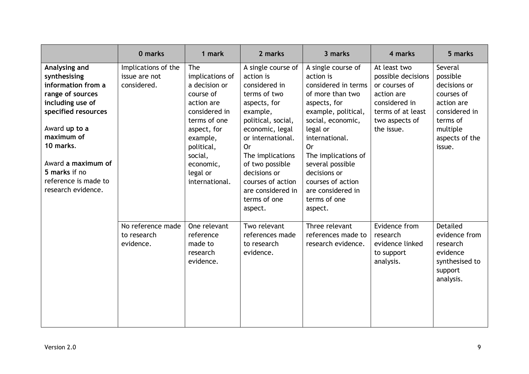|                                                                                                                                                                                                                                                     | 0 marks                                             | 1 mark                                                                                                                                                                                             | 2 marks                                                                                                                                                                                                                                                                                      | 3 marks                                                                                                                                                                                                                                                                                                           | 4 marks                                                                                                                                 | 5 marks                                                                                                                              |
|-----------------------------------------------------------------------------------------------------------------------------------------------------------------------------------------------------------------------------------------------------|-----------------------------------------------------|----------------------------------------------------------------------------------------------------------------------------------------------------------------------------------------------------|----------------------------------------------------------------------------------------------------------------------------------------------------------------------------------------------------------------------------------------------------------------------------------------------|-------------------------------------------------------------------------------------------------------------------------------------------------------------------------------------------------------------------------------------------------------------------------------------------------------------------|-----------------------------------------------------------------------------------------------------------------------------------------|--------------------------------------------------------------------------------------------------------------------------------------|
| Analysing and<br>synthesising<br>information from a<br>range of sources<br>including use of<br>specified resources<br>Award up to a<br>maximum of<br>10 marks.<br>Award a maximum of<br>5 marks if no<br>reference is made to<br>research evidence. | Implications of the<br>issue are not<br>considered. | The<br>implications of<br>a decision or<br>course of<br>action are<br>considered in<br>terms of one<br>aspect, for<br>example,<br>political,<br>social,<br>economic,<br>legal or<br>international. | A single course of<br>action is<br>considered in<br>terms of two<br>aspects, for<br>example,<br>political, social,<br>economic, legal<br>or international.<br>0r<br>The implications<br>of two possible<br>decisions or<br>courses of action<br>are considered in<br>terms of one<br>aspect. | A single course of<br>action is<br>considered in terms<br>of more than two<br>aspects, for<br>example, political,<br>social, economic,<br>legal or<br>international.<br><b>Or</b><br>The implications of<br>several possible<br>decisions or<br>courses of action<br>are considered in<br>terms of one<br>aspect. | At least two<br>possible decisions<br>or courses of<br>action are<br>considered in<br>terms of at least<br>two aspects of<br>the issue. | Several<br>possible<br>decisions or<br>courses of<br>action are<br>considered in<br>terms of<br>multiple<br>aspects of the<br>issue. |
|                                                                                                                                                                                                                                                     | No reference made<br>to research<br>evidence.       | One relevant<br>reference<br>made to<br>research<br>evidence.                                                                                                                                      | Two relevant<br>references made<br>to research<br>evidence.                                                                                                                                                                                                                                  | Three relevant<br>references made to<br>research evidence.                                                                                                                                                                                                                                                        | Evidence from<br>research<br>evidence linked<br>to support<br>analysis.                                                                 | <b>Detailed</b><br>evidence from<br>research<br>evidence<br>synthesised to<br>support<br>analysis.                                   |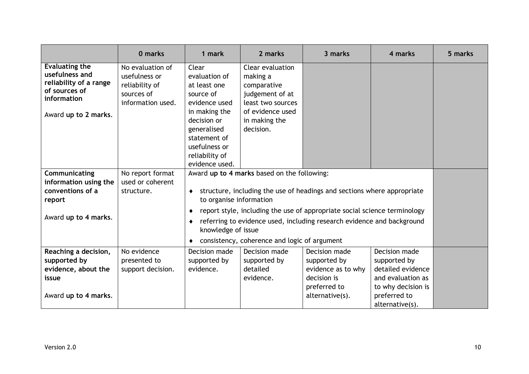|                                                                                                                           | 0 marks                                                                                | 1 mark                                                                                                                                                                                   | 2 marks                                                                                                                               | 3 marks                                                                                                                                                                                                                        | 4 marks                                                                                                                          | 5 marks |
|---------------------------------------------------------------------------------------------------------------------------|----------------------------------------------------------------------------------------|------------------------------------------------------------------------------------------------------------------------------------------------------------------------------------------|---------------------------------------------------------------------------------------------------------------------------------------|--------------------------------------------------------------------------------------------------------------------------------------------------------------------------------------------------------------------------------|----------------------------------------------------------------------------------------------------------------------------------|---------|
| <b>Evaluating the</b><br>usefulness and<br>reliability of a range<br>of sources of<br>information<br>Award up to 2 marks. | No evaluation of<br>usefulness or<br>reliability of<br>sources of<br>information used. | Clear<br>evaluation of<br>at least one<br>source of<br>evidence used<br>in making the<br>decision or<br>generalised<br>statement of<br>usefulness or<br>reliability of<br>evidence used. | Clear evaluation<br>making a<br>comparative<br>judgement of at<br>least two sources<br>of evidence used<br>in making the<br>decision. |                                                                                                                                                                                                                                |                                                                                                                                  |         |
| Communicating<br>information using the<br>conventions of a<br>report<br>Award up to 4 marks.                              | No report format<br>used or coherent<br>structure.                                     | ٠<br>to organise information<br>knowledge of issue                                                                                                                                       | Award up to 4 marks based on the following:<br>consistency, coherence and logic of argument                                           | structure, including the use of headings and sections where appropriate<br>report style, including the use of appropriate social science terminology<br>referring to evidence used, including research evidence and background |                                                                                                                                  |         |
| Reaching a decision,<br>supported by<br>evidence, about the<br>issue<br>Award up to 4 marks.                              | No evidence<br>presented to<br>support decision.                                       | Decision made<br>supported by<br>evidence.                                                                                                                                               | Decision made<br>supported by<br>detailed<br>evidence.                                                                                | Decision made<br>supported by<br>evidence as to why<br>decision is<br>preferred to<br>alternative(s).                                                                                                                          | Decision made<br>supported by<br>detailed evidence<br>and evaluation as<br>to why decision is<br>preferred to<br>alternative(s). |         |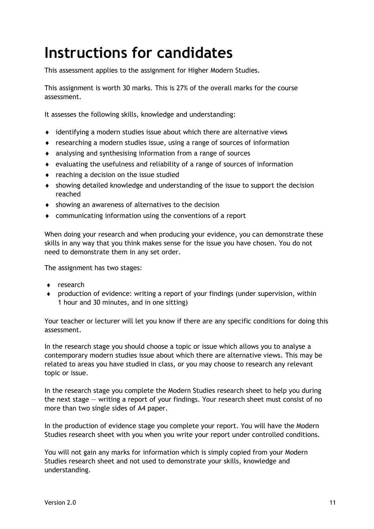### <span id="page-12-0"></span>**Instructions for candidates**

This assessment applies to the assignment for Higher Modern Studies.

This assignment is worth 30 marks. This is 27% of the overall marks for the course assessment.

It assesses the following skills, knowledge and understanding:

- identifying a modern studies issue about which there are alternative views
- researching a modern studies issue, using a range of sources of information
- analysing and synthesising information from a range of sources
- evaluating the usefulness and reliability of a range of sources of information
- reaching a decision on the issue studied
- showing detailed knowledge and understanding of the issue to support the decision reached
- showing an awareness of alternatives to the decision
- communicating information using the conventions of a report

When doing your research and when producing your evidence, you can demonstrate these skills in any way that you think makes sense for the issue you have chosen. You do not need to demonstrate them in any set order.

The assignment has two stages:

- ◆ research
- production of evidence: writing a report of your findings (under supervision, within 1 hour and 30 minutes, and in one sitting)

Your teacher or lecturer will let you know if there are any specific conditions for doing this assessment.

In the research stage you should choose a topic or issue which allows you to analyse a contemporary modern studies issue about which there are alternative views. This may be related to areas you have studied in class, or you may choose to research any relevant topic or issue.

In the research stage you complete the Modern Studies research sheet to help you during the next stage — writing a report of your findings. Your research sheet must consist of no more than two single sides of A4 paper.

In the production of evidence stage you complete your report. You will have the Modern Studies research sheet with you when you write your report under controlled conditions.

You will not gain any marks for information which is simply copied from your Modern Studies research sheet and not used to demonstrate your skills, knowledge and understanding.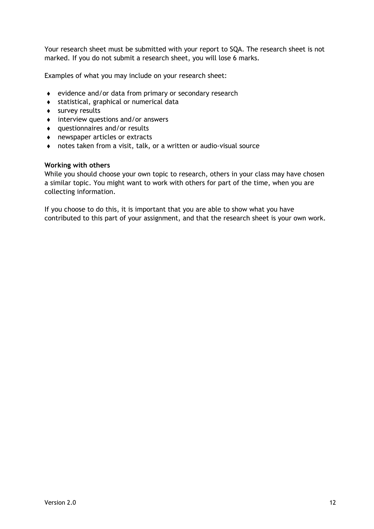Your research sheet must be submitted with your report to SQA. The research sheet is not marked. If you do not submit a research sheet, you will lose 6 marks.

Examples of what you may include on your research sheet:

- evidence and/or data from primary or secondary research
- statistical, graphical or numerical data
- survey results
- $\bullet$  interview questions and/or answers
- questionnaires and/or results
- newspaper articles or extracts
- notes taken from a visit, talk, or a written or audio-visual source

#### **Working with others**

While you should choose your own topic to research, others in your class may have chosen a similar topic. You might want to work with others for part of the time, when you are collecting information.

If you choose to do this, it is important that you are able to show what you have contributed to this part of your assignment, and that the research sheet is your own work.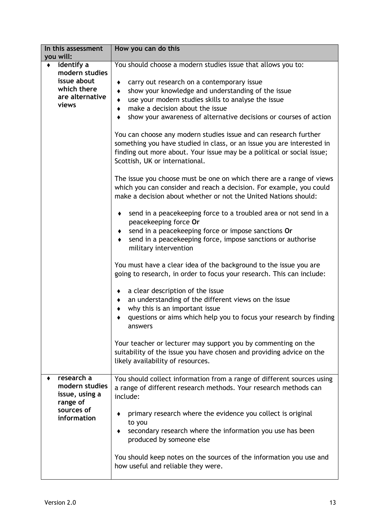| In this assessment                                                                                               | How you can do this                                                                                                                                                                                                                                                                                                                                                                                                                                                                                                                                                                                                                                                                                                                                                                                                                                                                                                                                                                                                                                                                                                                                                                                                                                                                                                                                                                                                                                                                                                                                                                                             |
|------------------------------------------------------------------------------------------------------------------|-----------------------------------------------------------------------------------------------------------------------------------------------------------------------------------------------------------------------------------------------------------------------------------------------------------------------------------------------------------------------------------------------------------------------------------------------------------------------------------------------------------------------------------------------------------------------------------------------------------------------------------------------------------------------------------------------------------------------------------------------------------------------------------------------------------------------------------------------------------------------------------------------------------------------------------------------------------------------------------------------------------------------------------------------------------------------------------------------------------------------------------------------------------------------------------------------------------------------------------------------------------------------------------------------------------------------------------------------------------------------------------------------------------------------------------------------------------------------------------------------------------------------------------------------------------------------------------------------------------------|
| you will:<br>identify a<br>$\bullet$<br>modern studies<br>issue about<br>which there<br>are alternative<br>views | You should choose a modern studies issue that allows you to:<br>carry out research on a contemporary issue<br>٠<br>show your knowledge and understanding of the issue<br>٠<br>use your modern studies skills to analyse the issue<br>٠<br>make a decision about the issue<br>٠<br>show your awareness of alternative decisions or courses of action<br>You can choose any modern studies issue and can research further<br>something you have studied in class, or an issue you are interested in<br>finding out more about. Your issue may be a political or social issue;<br>Scottish, UK or international.<br>The issue you choose must be one on which there are a range of views<br>which you can consider and reach a decision. For example, you could<br>make a decision about whether or not the United Nations should:<br>send in a peacekeeping force to a troubled area or not send in a<br>٠<br>peacekeeping force Or<br>send in a peacekeeping force or impose sanctions Or<br>٠<br>send in a peacekeeping force, impose sanctions or authorise<br>٠<br>military intervention<br>You must have a clear idea of the background to the issue you are<br>going to research, in order to focus your research. This can include:<br>a clear description of the issue<br>٠<br>an understanding of the different views on the issue<br>٠<br>why this is an important issue<br>٠<br>questions or aims which help you to focus your research by finding<br>answers<br>Your teacher or lecturer may support you by commenting on the<br>suitability of the issue you have chosen and providing advice on the |
|                                                                                                                  | likely availability of resources.                                                                                                                                                                                                                                                                                                                                                                                                                                                                                                                                                                                                                                                                                                                                                                                                                                                                                                                                                                                                                                                                                                                                                                                                                                                                                                                                                                                                                                                                                                                                                                               |
| research a<br>modern studies<br>issue, using a<br>range of<br>sources of<br>information                          | You should collect information from a range of different sources using<br>a range of different research methods. Your research methods can<br>include:<br>primary research where the evidence you collect is original<br>to you<br>secondary research where the information you use has been<br>٠<br>produced by someone else<br>You should keep notes on the sources of the information you use and<br>how useful and reliable they were.                                                                                                                                                                                                                                                                                                                                                                                                                                                                                                                                                                                                                                                                                                                                                                                                                                                                                                                                                                                                                                                                                                                                                                      |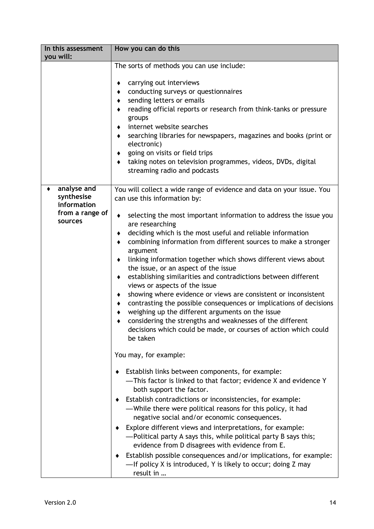| In this assessment<br>you will:                                        | How you can do this                                                                                                                                                                                                                                                                                                                                                                                                                                                                                                                                                                                                                                                                                                                                                                                                                                                                                                                                                                                                                                                                                                                                                                                                                                                                                                                                                                                                                                                                                                                                                                                                            |
|------------------------------------------------------------------------|--------------------------------------------------------------------------------------------------------------------------------------------------------------------------------------------------------------------------------------------------------------------------------------------------------------------------------------------------------------------------------------------------------------------------------------------------------------------------------------------------------------------------------------------------------------------------------------------------------------------------------------------------------------------------------------------------------------------------------------------------------------------------------------------------------------------------------------------------------------------------------------------------------------------------------------------------------------------------------------------------------------------------------------------------------------------------------------------------------------------------------------------------------------------------------------------------------------------------------------------------------------------------------------------------------------------------------------------------------------------------------------------------------------------------------------------------------------------------------------------------------------------------------------------------------------------------------------------------------------------------------|
|                                                                        | The sorts of methods you can use include:<br>carrying out interviews<br>conducting surveys or questionnaires<br>٠<br>sending letters or emails<br>reading official reports or research from think-tanks or pressure<br>groups<br>internet website searches<br>searching libraries for newspapers, magazines and books (print or<br>٠<br>electronic)<br>going on visits or field trips<br>taking notes on television programmes, videos, DVDs, digital<br>streaming radio and podcasts                                                                                                                                                                                                                                                                                                                                                                                                                                                                                                                                                                                                                                                                                                                                                                                                                                                                                                                                                                                                                                                                                                                                          |
| analyse and<br>synthesise<br>information<br>from a range of<br>sources | You will collect a wide range of evidence and data on your issue. You<br>can use this information by:<br>selecting the most important information to address the issue you<br>٠<br>are researching<br>deciding which is the most useful and reliable information<br>٠<br>combining information from different sources to make a stronger<br>٠<br>argument<br>linking information together which shows different views about<br>٠<br>the issue, or an aspect of the issue<br>establishing similarities and contradictions between different<br>٠<br>views or aspects of the issue<br>showing where evidence or views are consistent or inconsistent<br>٠<br>contrasting the possible consequences or implications of decisions<br>weighing up the different arguments on the issue<br>considering the strengths and weaknesses of the different<br>decisions which could be made, or courses of action which could<br>be taken<br>You may, for example:<br>Establish links between components, for example:<br>-This factor is linked to that factor; evidence X and evidence Y<br>both support the factor.<br>Establish contradictions or inconsistencies, for example:<br>-While there were political reasons for this policy, it had<br>negative social and/or economic consequences.<br>Explore different views and interpretations, for example:<br>-Political party A says this, while political party B says this;<br>evidence from D disagrees with evidence from E.<br>Establish possible consequences and/or implications, for example:<br>-If policy X is introduced, Y is likely to occur; doing Z may<br>result in |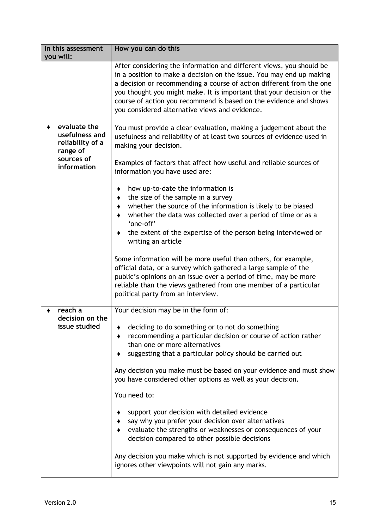| In this assessment<br>you will:                                | How you can do this                                                                                                                                                                                                                                                                                                                                                                                                  |
|----------------------------------------------------------------|----------------------------------------------------------------------------------------------------------------------------------------------------------------------------------------------------------------------------------------------------------------------------------------------------------------------------------------------------------------------------------------------------------------------|
|                                                                | After considering the information and different views, you should be<br>in a position to make a decision on the issue. You may end up making<br>a decision or recommending a course of action different from the one<br>you thought you might make. It is important that your decision or the<br>course of action you recommend is based on the evidence and shows<br>you considered alternative views and evidence. |
| evaluate the<br>usefulness and<br>reliability of a<br>range of | You must provide a clear evaluation, making a judgement about the<br>usefulness and reliability of at least two sources of evidence used in<br>making your decision.                                                                                                                                                                                                                                                 |
| sources of<br>information                                      | Examples of factors that affect how useful and reliable sources of<br>information you have used are:                                                                                                                                                                                                                                                                                                                 |
|                                                                | how up-to-date the information is                                                                                                                                                                                                                                                                                                                                                                                    |
|                                                                | the size of the sample in a survey<br>whether the source of the information is likely to be biased                                                                                                                                                                                                                                                                                                                   |
|                                                                | whether the data was collected over a period of time or as a<br>'one-off'                                                                                                                                                                                                                                                                                                                                            |
|                                                                | the extent of the expertise of the person being interviewed or<br>writing an article                                                                                                                                                                                                                                                                                                                                 |
|                                                                | Some information will be more useful than others, for example,<br>official data, or a survey which gathered a large sample of the<br>public's opinions on an issue over a period of time, may be more<br>reliable than the views gathered from one member of a particular<br>political party from an interview.                                                                                                      |
| reach a<br>decision on the                                     | Your decision may be in the form of:                                                                                                                                                                                                                                                                                                                                                                                 |
| issue studied                                                  | deciding to do something or to not do something<br>recommending a particular decision or course of action rather<br>than one or more alternatives<br>suggesting that a particular policy should be carried out                                                                                                                                                                                                       |
|                                                                | Any decision you make must be based on your evidence and must show<br>you have considered other options as well as your decision.                                                                                                                                                                                                                                                                                    |
|                                                                | You need to:                                                                                                                                                                                                                                                                                                                                                                                                         |
|                                                                | support your decision with detailed evidence<br>say why you prefer your decision over alternatives<br>evaluate the strengths or weaknesses or consequences of your<br>decision compared to other possible decisions                                                                                                                                                                                                  |
|                                                                | Any decision you make which is not supported by evidence and which<br>ignores other viewpoints will not gain any marks.                                                                                                                                                                                                                                                                                              |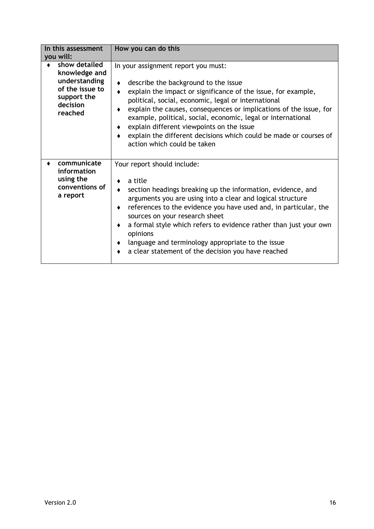| In this assessment<br>you will: |                                                                                                          | How you can do this                                                                                                                                                                                                                                                                                                                                                                                                                                                                                       |
|---------------------------------|----------------------------------------------------------------------------------------------------------|-----------------------------------------------------------------------------------------------------------------------------------------------------------------------------------------------------------------------------------------------------------------------------------------------------------------------------------------------------------------------------------------------------------------------------------------------------------------------------------------------------------|
|                                 | show detailed<br>knowledge and<br>understanding<br>of the issue to<br>support the<br>decision<br>reached | In your assignment report you must:<br>describe the background to the issue<br>explain the impact or significance of the issue, for example,<br>٠<br>political, social, economic, legal or international<br>explain the causes, consequences or implications of the issue, for<br>٠<br>example, political, social, economic, legal or international<br>explain different viewpoints on the issue<br>٠<br>explain the different decisions which could be made or courses of<br>action which could be taken |
|                                 | communicate<br>information<br>using the<br>conventions of<br>a report                                    | Your report should include:<br>a title<br>section headings breaking up the information, evidence, and<br>٠<br>arguments you are using into a clear and logical structure<br>references to the evidence you have used and, in particular, the<br>٠<br>sources on your research sheet<br>a formal style which refers to evidence rather than just your own<br>٠<br>opinions<br>language and terminology appropriate to the issue<br>٠<br>a clear statement of the decision you have reached                 |